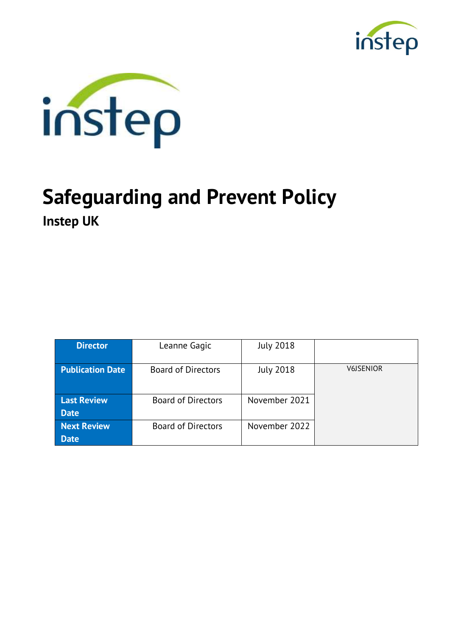



# **Safeguarding and Prevent Policy Instep UK**

| <b>Director</b>                   | Leanne Gagic              | <b>July 2018</b> |                  |
|-----------------------------------|---------------------------|------------------|------------------|
| <b>Publication Date</b>           | <b>Board of Directors</b> | <b>July 2018</b> | <b>V6JSENIOR</b> |
| <b>Last Review</b><br><b>Date</b> | <b>Board of Directors</b> | November 2021    |                  |
| <b>Next Review</b><br><b>Date</b> | <b>Board of Directors</b> | November 2022    |                  |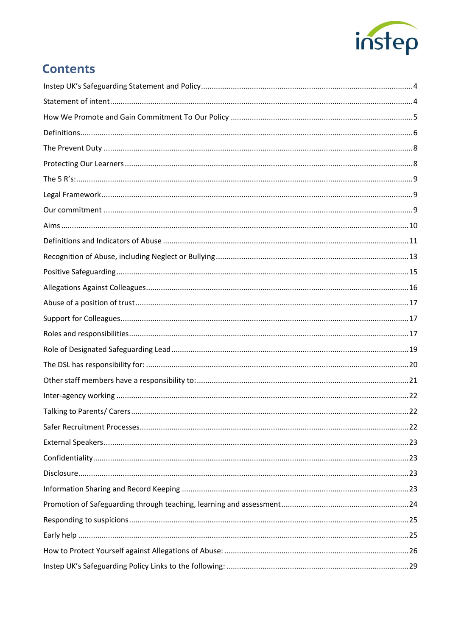

# **Contents**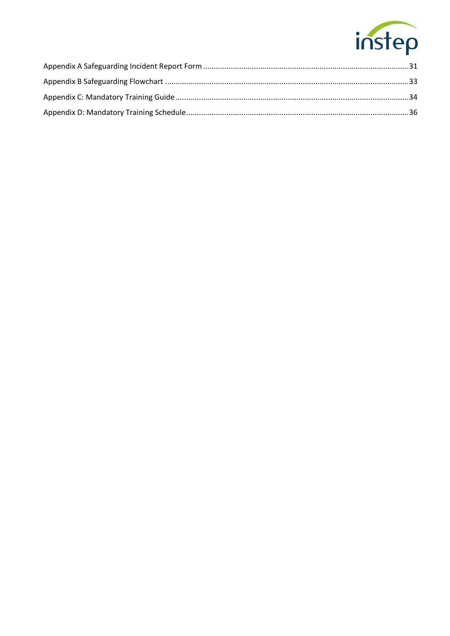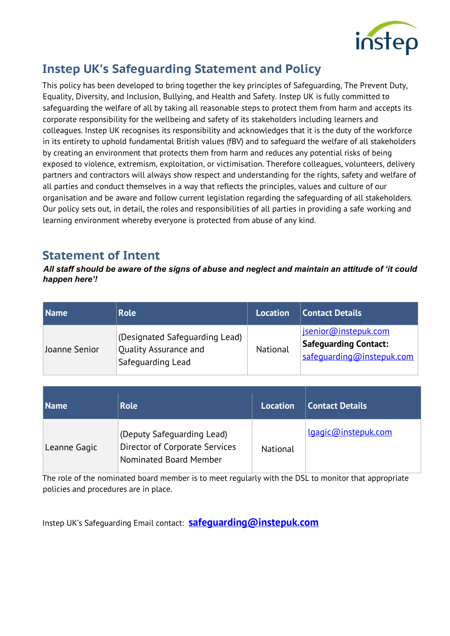

# <span id="page-3-0"></span>**Instep UK's Safeguarding Statement and Policy**

This policy has been developed to bring together the key principles of Safeguarding, The Prevent Duty, Equality, Diversity, and Inclusion, Bullying, and Health and Safety. Instep UK is fully committed to safeguarding the welfare of all by taking all reasonable steps to protect them from harm and accepts its corporate responsibility for the wellbeing and safety of its stakeholders including learners and colleagues. Instep UK recognises its responsibility and acknowledges that it is the duty of the workforce in its entirety to uphold fundamental British values (fBV) and to safeguard the welfare of all stakeholders by creating an environment that protects them from harm and reduces any potential risks of being exposed to violence, extremism, exploitation, or victimisation. Therefore colleagues, volunteers, delivery partners and contractors will always show respect and understanding for the rights, safety and welfare of all parties and conduct themselves in a way that reflects the principles, values and culture of our organisation and be aware and follow current legislation regarding the safeguarding of all stakeholders. Our policy sets out, in detail, the roles and responsibilities of all parties in providing a safe working and learning environment whereby everyone is protected from abuse of any kind.

### <span id="page-3-1"></span>**Statement of Intent**

*All staff should be aware of the signs of abuse and neglect and maintain an attitude of 'it could happen here'!*

| <b>Name</b>   | <b>Role</b>                                                                         | <b>Location</b> | <b>Contact Details</b>                                                            |
|---------------|-------------------------------------------------------------------------------------|-----------------|-----------------------------------------------------------------------------------|
| Joanne Senior | (Designated Safeguarding Lead)<br><b>Quality Assurance and</b><br>Safeguarding Lead | National        | isenior@instepuk.com<br><b>Safeguarding Contact:</b><br>safeguarding@instepuk.com |

| <b>Name</b>  | <b>Role</b>                                                                            | <b>Location</b> | <b>Contact Details</b> |
|--------------|----------------------------------------------------------------------------------------|-----------------|------------------------|
| Leanne Gagic | (Deputy Safeguarding Lead)<br>Director of Corporate Services<br>Nominated Board Member | <b>National</b> | lgagic@instepuk.com    |

The role of the nominated board member is to meet regularly with the DSL to monitor that appropriate policies and procedures are in place.

Instep UK's Safeguarding Email contact: **safeguarding@instepuk.com**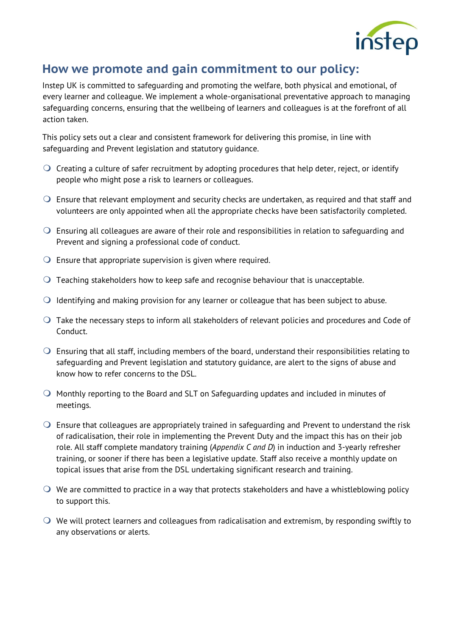

### <span id="page-4-0"></span>**How we promote and gain commitment to our policy:**

Instep UK is committed to safeguarding and promoting the welfare, both physical and emotional, of every learner and colleague. We implement a whole-organisational preventative approach to managing safeguarding concerns, ensuring that the wellbeing of learners and colleagues is at the forefront of all action taken.

This policy sets out a clear and consistent framework for delivering this promise, in line with safeguarding and Prevent legislation and statutory guidance.

- $\bigcirc$  Creating a culture of safer recruitment by adopting procedures that help deter, reject, or identify people who might pose a risk to learners or colleagues.
- $\bigcirc$  Ensure that relevant employment and security checks are undertaken, as required and that staff and volunteers are only appointed when all the appropriate checks have been satisfactorily completed.
- $\bigcirc$  Ensuring all colleagues are aware of their role and responsibilities in relation to safeguarding and Prevent and signing a professional code of conduct.
- $\bigcirc$  Ensure that appropriate supervision is given where required.
- $\bigcirc$  Teaching stakeholders how to keep safe and recognise behaviour that is unacceptable.
- $\bigcirc$  Identifying and making provision for any learner or colleague that has been subject to abuse.
- $\bigcirc$  Take the necessary steps to inform all stakeholders of relevant policies and procedures and Code of Conduct.
- Ensuring that all staff, including members of the board, understand their responsibilities relating to safeguarding and Prevent legislation and statutory guidance, are alert to the signs of abuse and know how to refer concerns to the DSL.
- $\bigcirc$  Monthly reporting to the Board and SLT on Safeguarding updates and included in minutes of meetings.
- $\bigcirc$  Ensure that colleagues are appropriately trained in safeguarding and Prevent to understand the risk of radicalisation, their role in implementing the Prevent Duty and the impact this has on their job role. All staff complete mandatory training (*Appendix C and D*) in induction and 3-yearly refresher training, or sooner if there has been a legislative update. Staff also receive a monthly update on topical issues that arise from the DSL undertaking significant research and training.
- $\bigcirc$  We are committed to practice in a way that protects stakeholders and have a whistleblowing policy to support this.
- $\bigcirc$  We will protect learners and colleagues from radicalisation and extremism, by responding swiftly to any observations or alerts.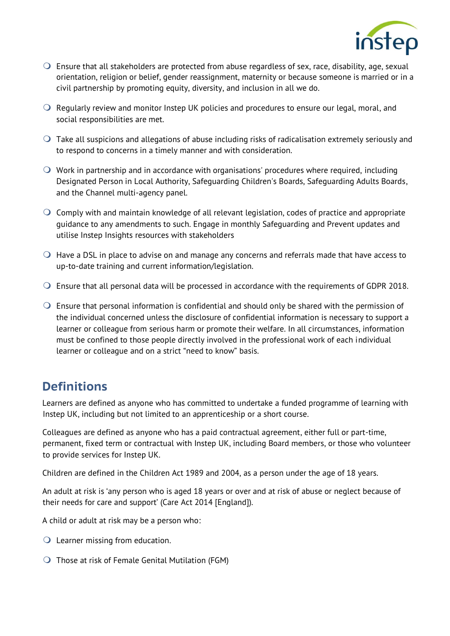

- $\bigcirc$  Ensure that all stakeholders are protected from abuse regardless of sex, race, disability, age, sexual orientation, religion or belief, gender reassignment, maternity or because someone is married or in a civil partnership by promoting equity, diversity, and inclusion in all we do.
- $\bigcirc$  Regularly review and monitor Instep UK policies and procedures to ensure our legal, moral, and social responsibilities are met.
- Take all suspicions and allegations of abuse including risks of radicalisation extremely seriously and to respond to concerns in a timely manner and with consideration.
- $\bigcirc$  Work in partnership and in accordance with organisations' procedures where required, including Designated Person in Local Authority, Safeguarding Children's Boards, Safeguarding Adults Boards, and the Channel multi-agency panel.
- $\bigcirc$  Comply with and maintain knowledge of all relevant legislation, codes of practice and appropriate guidance to any amendments to such. Engage in monthly Safeguarding and Prevent updates and utilise Instep Insights resources with stakeholders
- $\bigcirc$  Have a DSL in place to advise on and manage any concerns and referrals made that have access to up-to-date training and current information/legislation.
- Ensure that all personal data will be processed in accordance with the requirements of GDPR 2018.
- $\bigcirc$  Ensure that personal information is confidential and should only be shared with the permission of the individual concerned unless the disclosure of confidential information is necessary to support a learner or colleague from serious harm or promote their welfare. In all circumstances, information must be confined to those people directly involved in the professional work of each individual learner or colleague and on a strict "need to know" basis.

### <span id="page-5-0"></span>**Definitions**

Learners are defined as anyone who has committed to undertake a funded programme of learning with Instep UK, including but not limited to an apprenticeship or a short course.

Colleagues are defined as anyone who has a paid contractual agreement, either full or part-time, permanent, fixed term or contractual with Instep UK, including Board members, or those who volunteer to provide services for Instep UK.

Children are defined in the Children Act 1989 and 2004, as a person under the age of 18 years.

An adult at risk is 'any person who is aged 18 years or over and at risk of abuse or neglect because of their needs for care and support' (Care Act 2014 [England]).

A child or adult at risk may be a person who:

- Learner missing from education.
- $\bigcirc$  Those at risk of Female Genital Mutilation (FGM)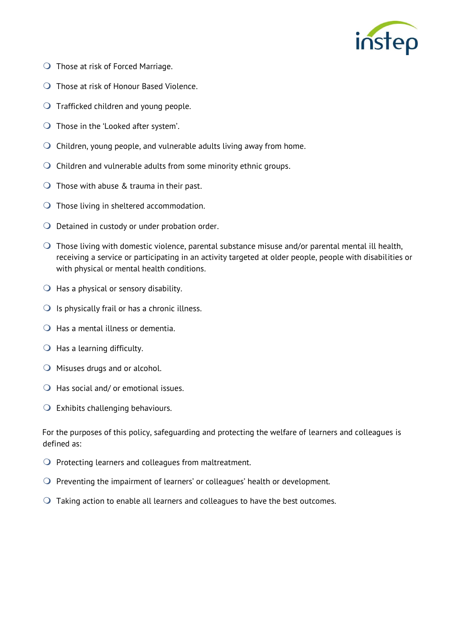

- $\bigcirc$  Those at risk of Forced Marriage.
- Those at risk of Honour Based Violence.
- $\bigcirc$  Trafficked children and young people.
- O Those in the 'Looked after system'.
- $\bigcirc$  Children, young people, and vulnerable adults living away from home.
- $\bigcirc$  Children and vulnerable adults from some minority ethnic groups.
- $\bigcirc$  Those with abuse & trauma in their past.
- O Those living in sheltered accommodation.
- O Detained in custody or under probation order.
- $\bigcirc$  Those living with domestic violence, parental substance misuse and/or parental mental ill health, receiving a service or participating in an activity targeted at older people, people with disabilities or with physical or mental health conditions.
- $\bigcirc$  Has a physical or sensory disability.
- $\bigcirc$  Is physically frail or has a chronic illness.
- $\bigcirc$  Has a mental illness or dementia.
- $\bigcirc$  Has a learning difficulty.
- $\bigcirc$  Misuses drugs and or alcohol.
- Has social and/ or emotional issues.
- $\bigcirc$  Exhibits challenging behaviours.

For the purposes of this policy, safeguarding and protecting the welfare of learners and colleagues is defined as:

- $\bigcirc$  Protecting learners and colleagues from maltreatment.
- $\bigcirc$  Preventing the impairment of learners' or colleagues' health or development.
- $\bigcirc$  Taking action to enable all learners and colleagues to have the best outcomes.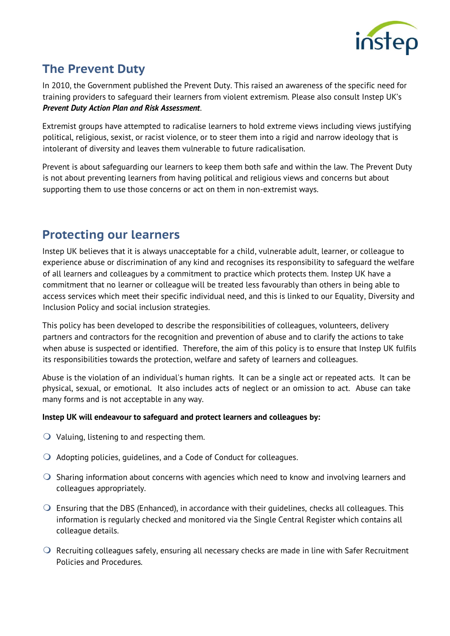

# **The Prevent Duty**

In 2010, the Government published the Prevent Duty. This raised an awareness of the specific need for training providers to safeguard their learners from violent extremism. Please also consult Instep UK's *Prevent Duty Action Plan and Risk Assessment*.

Extremist groups have attempted to radicalise learners to hold extreme views including views justifying political, religious, sexist, or racist violence, or to steer them into a rigid and narrow ideology that is intolerant of diversity and leaves them vulnerable to future radicalisation.

Prevent is about safeguarding our learners to keep them both safe and within the law. The Prevent Duty is not about preventing learners from having political and religious views and concerns but about supporting them to use those concerns or act on them in non-extremist ways.

# <span id="page-7-0"></span>**Protecting our learners**

Instep UK believes that it is always unacceptable for a child, vulnerable adult, learner, or colleague to experience abuse or discrimination of any kind and recognises its responsibility to safeguard the welfare of all learners and colleagues by a commitment to practice which protects them. Instep UK have a commitment that no learner or colleague will be treated less favourably than others in being able to access services which meet their specific individual need, and this is linked to our Equality, Diversity and Inclusion Policy and social inclusion strategies.

This policy has been developed to describe the responsibilities of colleagues, volunteers, delivery partners and contractors for the recognition and prevention of abuse and to clarify the actions to take when abuse is suspected or identified. Therefore, the aim of this policy is to ensure that Instep UK fulfils its responsibilities towards the protection, welfare and safety of learners and colleagues.

Abuse is the violation of an individual's human rights. It can be a single act or repeated acts. It can be physical, sexual, or emotional. It also includes acts of neglect or an omission to act. Abuse can take many forms and is not acceptable in any way.

#### **Instep UK will endeavour to safeguard and protect learners and colleagues by:**

- $\bigcirc$  Valuing, listening to and respecting them.
- $\bigcirc$  Adopting policies, quidelines, and a Code of Conduct for colleagues.
- $\bigcirc$  Sharing information about concerns with agencies which need to know and involving learners and colleagues appropriately.
- Ensuring that the DBS (Enhanced), in accordance with their guidelines, checks all colleagues. This information is regularly checked and monitored via the Single Central Register which contains all colleague details.
- $\bigcirc$  Recruiting colleagues safely, ensuring all necessary checks are made in line with Safer Recruitment Policies and Procedures.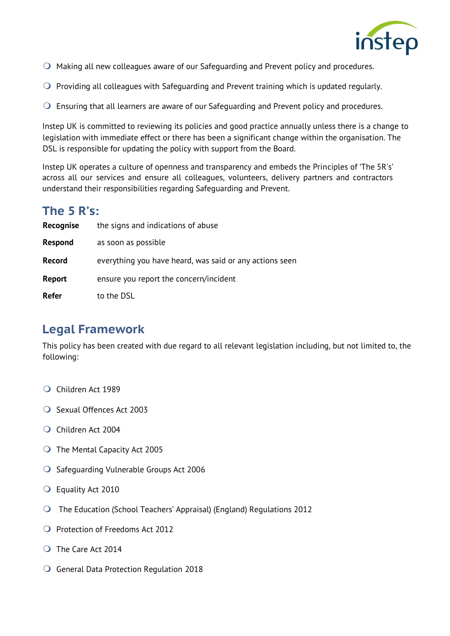

- $\bigcirc$  Making all new colleagues aware of our Safeguarding and Prevent policy and procedures.
- $\bigcirc$  Providing all colleagues with Safeguarding and Prevent training which is updated regularly.
- Ensuring that all learners are aware of our Safeguarding and Prevent policy and procedures.

Instep UK is committed to reviewing its policies and good practice annually unless there is a change to legislation with immediate effect or there has been a significant change within the organisation. The DSL is responsible for updating the policy with support from the Board.

Instep UK operates a culture of openness and transparency and embeds the Principles of 'The 5R's' across all our services and ensure all colleagues, volunteers, delivery partners and contractors understand their responsibilities regarding Safeguarding and Prevent.

### <span id="page-8-0"></span>**The 5 R's:**

| Recognise      | the signs and indications of abuse                      |
|----------------|---------------------------------------------------------|
| <b>Respond</b> | as soon as possible                                     |
| <b>Record</b>  | everything you have heard, was said or any actions seen |
| Report         | ensure you report the concern/incident                  |
| Refer          | to the DSL                                              |

### <span id="page-8-1"></span>**Legal Framework**

This policy has been created with due regard to all relevant legislation including, but not limited to, the following:

- O Children Act 1989
- O Sexual Offences Act 2003
- O Children Act 2004
- O The Mental Capacity Act 2005
- Safeguarding Vulnerable Groups Act 2006
- Equality Act 2010
- The Education (School Teachers' Appraisal) (England) Regulations 2012
- O Protection of Freedoms Act 2012
- O The Care Act 2014
- General Data Protection Regulation 2018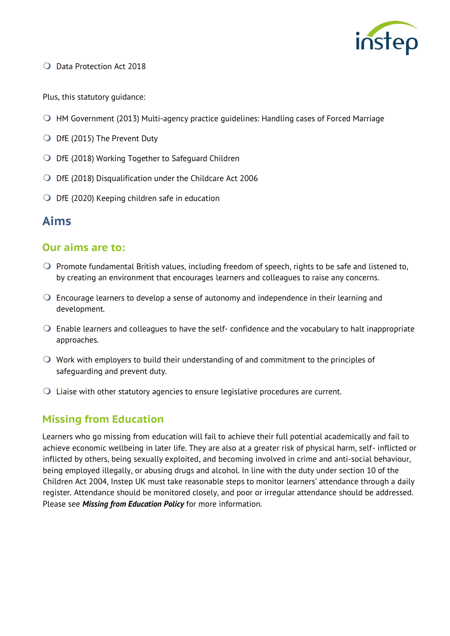

O Data Protection Act 2018

Plus, this statutory guidance:

- HM Government (2013) Multi-agency practice guidelines: Handling cases of Forced Marriage
- O DfE (2015) The Prevent Duty
- $\bigcirc$  DfE (2018) Working Together to Safeguard Children
- $\bigcirc$  DfE (2018) Disqualification under the Childcare Act 2006
- $\bigcirc$  DfE (2020) Keeping children safe in education

### <span id="page-9-0"></span>**Aims**

#### **Our aims are to:**

- $\bigcirc$  Promote fundamental British values, including freedom of speech, rights to be safe and listened to, by creating an environment that encourages learners and colleagues to raise any concerns.
- $\bigcirc$  Encourage learners to develop a sense of autonomy and independence in their learning and development.
- $\bigcirc$  Enable learners and colleagues to have the self- confidence and the vocabulary to halt inappropriate approaches.
- Work with employers to build their understanding of and commitment to the principles of safeguarding and prevent duty.
- Liaise with other statutory agencies to ensure legislative procedures are current.

#### **Missing from Education**

Learners who go missing from education will fail to achieve their full potential academically and fail to achieve economic wellbeing in later life. They are also at a greater risk of physical harm, self- inflicted or inflicted by others, being sexually exploited, and becoming involved in crime and anti-social behaviour, being employed illegally, or abusing drugs and alcohol. In line with the duty under section 10 of the Children Act 2004, Instep UK must take reasonable steps to monitor learners' attendance through a daily register. Attendance should be monitored closely, and poor or irregular attendance should be addressed. Please see *Missing from Education Policy* for more information.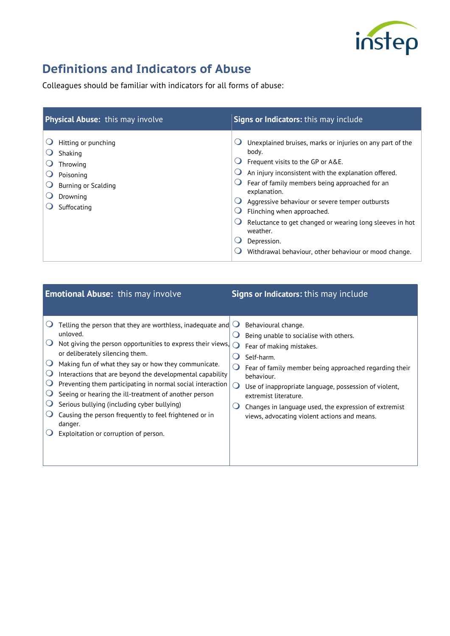

# <span id="page-10-0"></span>**Definitions and Indicators of Abuse**

Colleagues should be familiar with indicators for all forms of abuse:

| <b>Physical Abuse:</b> this may involve                                                                          | <b>Signs or Indicators:</b> this may include                                                                                                                                                                                                                                                                                                                                                                                                                       |
|------------------------------------------------------------------------------------------------------------------|--------------------------------------------------------------------------------------------------------------------------------------------------------------------------------------------------------------------------------------------------------------------------------------------------------------------------------------------------------------------------------------------------------------------------------------------------------------------|
| Hitting or punching<br>Shaking<br>Throwing<br>Poisoning<br><b>Burning or Scalding</b><br>Drowning<br>Suffocating | Unexplained bruises, marks or injuries on any part of the<br>body.<br>Frequent visits to the GP or A&E.<br>An injury inconsistent with the explanation offered.<br>Fear of family members being approached for an<br>explanation.<br>Aggressive behaviour or severe temper outbursts<br>Flinching when approached.<br>Reluctance to get changed or wearing long sleeves in hot<br>weather.<br>Depression.<br>Withdrawal behaviour, other behaviour or mood change. |

| <b>Emotional Abuse:</b> this may involve                                                                                                                                                                                                                                                                                                                                                                                                                                                                                                                                          | <b>Signs or Indicators: this may include</b>                                                                                                                                                                                                                                                                                                                                                                         |
|-----------------------------------------------------------------------------------------------------------------------------------------------------------------------------------------------------------------------------------------------------------------------------------------------------------------------------------------------------------------------------------------------------------------------------------------------------------------------------------------------------------------------------------------------------------------------------------|----------------------------------------------------------------------------------------------------------------------------------------------------------------------------------------------------------------------------------------------------------------------------------------------------------------------------------------------------------------------------------------------------------------------|
| Telling the person that they are worthless, inadequate and<br>unloved.<br>Not giving the person opportunities to express their views,<br>or deliberately silencing them.<br>Making fun of what they say or how they communicate.<br>Interactions that are beyond the developmental capability<br>Preventing them participating in normal social interaction<br>Seeing or hearing the ill-treatment of another person<br>Serious bullying (including cyber bullying)<br>Causing the person frequently to feel frightened or in<br>danger.<br>Exploitation or corruption of person. | Behavioural change.<br>Being unable to socialise with others.<br>Fear of making mistakes.<br>Self-harm.<br>Fear of family member being approached regarding their<br>behaviour.<br>$\begin{array}{c} \square \end{array}$<br>Use of inappropriate language, possession of violent,<br>extremist literature.<br>Changes in language used, the expression of extremist<br>views, advocating violent actions and means. |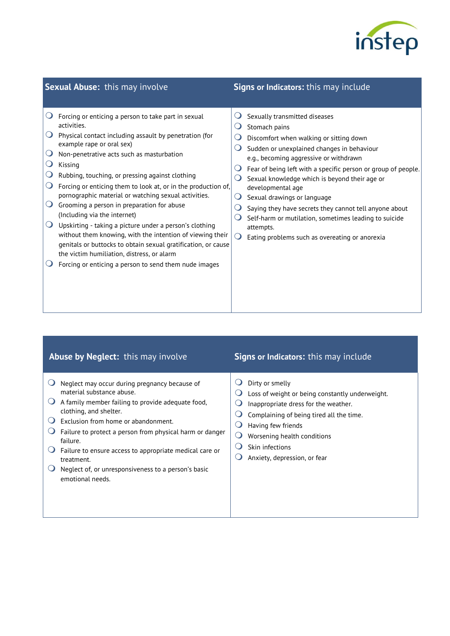

| Forcing or enticing a person to take part in sexual<br>Sexually transmitted diseases<br>activities.<br>$\cup$<br>Stomach pains<br>Physical contact including assault by penetration (for<br>$\cup$<br>Discomfort when walking or sitting down<br>example rape or oral sex)<br>Sudden or unexplained changes in behaviour<br>Non-penetrative acts such as masturbation<br>e.g., becoming aggressive or withdrawn                                                                                                                                                                                                                                                                                                                                                                                                                                                            | <b>Sexual Abuse: this may involve</b> | <b>Signs or Indicators: this may include</b>                  |
|----------------------------------------------------------------------------------------------------------------------------------------------------------------------------------------------------------------------------------------------------------------------------------------------------------------------------------------------------------------------------------------------------------------------------------------------------------------------------------------------------------------------------------------------------------------------------------------------------------------------------------------------------------------------------------------------------------------------------------------------------------------------------------------------------------------------------------------------------------------------------|---------------------------------------|---------------------------------------------------------------|
| Rubbing, touching, or pressing against clothing<br>Sexual knowledge which is beyond their age or<br>Forcing or enticing them to look at, or in the production of,<br>developmental age<br>pornographic material or watching sexual activities.<br>Sexual drawings or language<br>Grooming a person in preparation for abuse<br>Saying they have secrets they cannot tell anyone about<br>(Including via the internet)<br>Self-harm or mutilation, sometimes leading to suicide<br>$\cup$<br>Upskirting - taking a picture under a person's clothing<br>attempts.<br>without them knowing, with the intention of viewing their<br>$\left(\right)$<br>Eating problems such as overeating or anorexia<br>genitals or buttocks to obtain sexual gratification, or cause<br>the victim humiliation, distress, or alarm<br>Forcing or enticing a person to send them nude images | Kissing                               | Fear of being left with a specific person or group of people. |

| <b>Abuse by Neglect:</b> this may involve                                                                                                                                                                                                                                                                                                                                                                                    | <b>Signs or Indicators: this may include</b>                                                                                                                                                                                                                                            |
|------------------------------------------------------------------------------------------------------------------------------------------------------------------------------------------------------------------------------------------------------------------------------------------------------------------------------------------------------------------------------------------------------------------------------|-----------------------------------------------------------------------------------------------------------------------------------------------------------------------------------------------------------------------------------------------------------------------------------------|
| Neglect may occur during pregnancy because of<br>material substance abuse.<br>A family member failing to provide adequate food,<br>clothing, and shelter.<br>Exclusion from home or abandonment.<br>Failure to protect a person from physical harm or danger<br>failure.<br>Failure to ensure access to appropriate medical care or<br>treatment.<br>Neglect of, or unresponsiveness to a person's basic<br>emotional needs. | Dirty or smelly<br>Loss of weight or being constantly underweight.<br>Inappropriate dress for the weather.<br>Complaining of being tired all the time.<br>Having few friends<br>O<br>Worsening health conditions<br>U<br>$\cup$<br>Skin infections<br>Anxiety, depression, or fear<br>Q |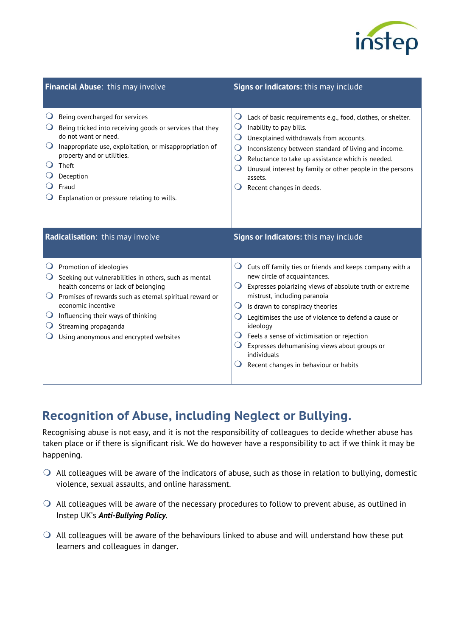

| Financial Abuse: this may involve                                                                                                                                                                                                                                                                                                                          | Signs or Indicators: this may include                                                                                                                                                                                                                                                                                                                                                                                                                                                                  |
|------------------------------------------------------------------------------------------------------------------------------------------------------------------------------------------------------------------------------------------------------------------------------------------------------------------------------------------------------------|--------------------------------------------------------------------------------------------------------------------------------------------------------------------------------------------------------------------------------------------------------------------------------------------------------------------------------------------------------------------------------------------------------------------------------------------------------------------------------------------------------|
| Being overcharged for services<br>$\cup$<br>Being tricked into receiving goods or services that they<br>do not want or need.<br>$\mathbf O$<br>Inappropriate use, exploitation, or misappropriation of<br>property and or utilities.<br>Theft<br>$\bm{\cup}$<br>Deception<br>Fraud<br>Explanation or pressure relating to wills.                           | Lack of basic requirements e.g., food, clothes, or shelter.<br>$\cup$<br>Inability to pay bills.<br>$\cup$<br>$\circ$<br>Unexplained withdrawals from accounts.<br>$\bigcirc$<br>Inconsistency between standard of living and income.<br>$\bigcirc$<br>Reluctance to take up assistance which is needed.<br>Unusual interest by family or other people in the persons<br>assets.<br>$\cup$<br>Recent changes in deeds.                                                                                 |
| Radicalisation: this may involve                                                                                                                                                                                                                                                                                                                           | Signs or Indicators: this may include                                                                                                                                                                                                                                                                                                                                                                                                                                                                  |
| Promotion of ideologies<br>Seeking out vulnerabilities in others, such as mental<br>$\mathsf{O}$<br>health concerns or lack of belonging<br>$\mathbf O$<br>Promises of rewards such as eternal spiritual reward or<br>economic incentive<br>Influencing their ways of thinking<br>$\cup$<br>Streaming propaganda<br>Using anonymous and encrypted websites | $\circ$<br>Cuts off family ties or friends and keeps company with a<br>new circle of acquaintances.<br>$\circ$<br>Expresses polarizing views of absolute truth or extreme<br>mistrust, including paranoia<br>$\circ$<br>Is drawn to conspiracy theories<br>$\cup$<br>Legitimises the use of violence to defend a cause or<br>ideology<br>Feels a sense of victimisation or rejection<br>$\cup$<br>Expresses dehumanising views about groups or<br>individuals<br>Recent changes in behaviour or habits |

### <span id="page-12-0"></span>**Recognition of Abuse, including Neglect or Bullying.**

Recognising abuse is not easy, and it is not the responsibility of colleagues to decide whether abuse has taken place or if there is significant risk. We do however have a responsibility to act if we think it may be happening.

- $\bigcirc$  All colleagues will be aware of the indicators of abuse, such as those in relation to bullying, domestic violence, sexual assaults, and online harassment.
- $\bigcirc$  All colleagues will be aware of the necessary procedures to follow to prevent abuse, as outlined in Instep UK's *Anti-Bullying Policy*.
- $\bigcirc$  All colleagues will be aware of the behaviours linked to abuse and will understand how these put learners and colleagues in danger.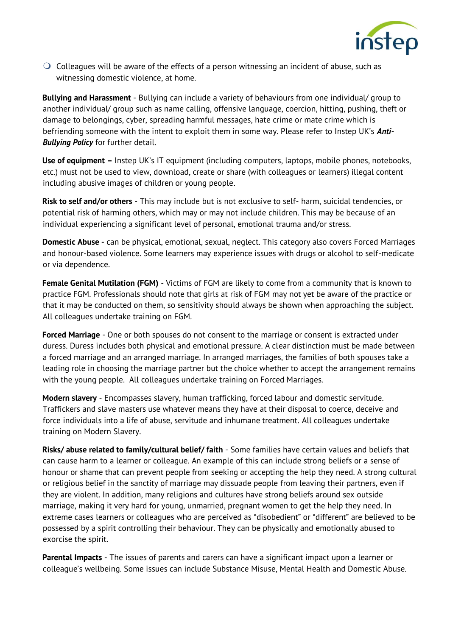

 $\bigcirc$  Colleagues will be aware of the effects of a person witnessing an incident of abuse, such as witnessing domestic violence, at home.

**Bullying and Harassment** - Bullying can include a variety of behaviours from one individual/ group to another individual/ group such as name calling, offensive language, coercion, hitting, pushing, theft or damage to belongings, cyber, spreading harmful messages, hate crime or mate crime which is befriending someone with the intent to exploit them in some way. Please refer to Instep UK's *Anti-Bullying Policy* for further detail.

**Use of equipment –** Instep UK's IT equipment (including computers, laptops, mobile phones, notebooks, etc.) must not be used to view, download, create or share (with colleagues or learners) illegal content including abusive images of children or young people.

**Risk to self and/or others** - This may include but is not exclusive to self- harm, suicidal tendencies, or potential risk of harming others, which may or may not include children. This may be because of an individual experiencing a significant level of personal, emotional trauma and/or stress.

**Domestic Abuse -** can be physical, emotional, sexual, neglect. This category also covers Forced Marriages and honour-based violence. Some learners may experience issues with drugs or alcohol to self-medicate or via dependence.

**Female Genital Mutilation (FGM)** - Victims of FGM are likely to come from a community that is known to practice FGM. Professionals should note that girls at risk of FGM may not yet be aware of the practice or that it may be conducted on them, so sensitivity should always be shown when approaching the subject. All colleagues undertake training on FGM.

**Forced Marriage** - One or both spouses do not consent to the marriage or consent is extracted under duress. Duress includes both physical and emotional pressure. A clear distinction must be made between a forced marriage and an arranged marriage. In arranged marriages, the families of both spouses take a leading role in choosing the marriage partner but the choice whether to accept the arrangement remains with the young people. All colleagues undertake training on Forced Marriages.

**Modern slavery** - Encompasses slavery, human trafficking, forced labour and domestic servitude. Traffickers and slave masters use whatever means they have at their disposal to coerce, deceive and force individuals into a life of abuse, servitude and inhumane treatment. All colleagues undertake training on Modern Slavery.

**Risks/ abuse related to family/cultural belief/ faith** - Some families have certain values and beliefs that can cause harm to a learner or colleague. An example of this can include strong beliefs or a sense of honour or shame that can prevent people from seeking or accepting the help they need. A strong cultural or religious belief in the sanctity of marriage may dissuade people from leaving their partners, even if they are violent. In addition, many religions and cultures have strong beliefs around sex outside marriage, making it very hard for young, unmarried, pregnant women to get the help they need. In extreme cases learners or colleagues who are perceived as "disobedient" or "different" are believed to be possessed by a spirit controlling their behaviour. They can be physically and emotionally abused to exorcise the spirit.

**Parental Impacts** - The issues of parents and carers can have a significant impact upon a learner or colleague's wellbeing. Some issues can include Substance Misuse, Mental Health and Domestic Abuse.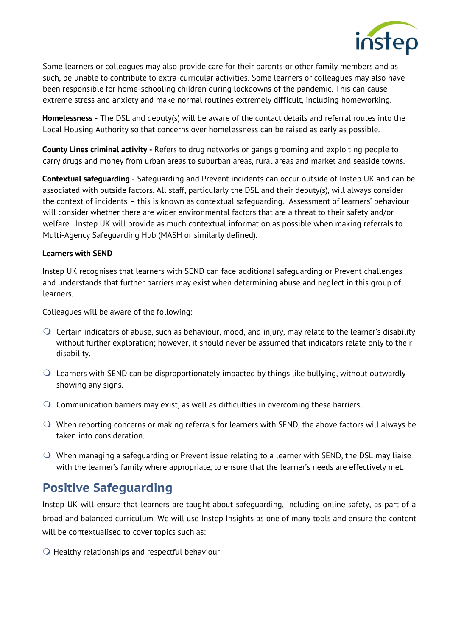

Some learners or colleagues may also provide care for their parents or other family members and as such, be unable to contribute to extra-curricular activities. Some learners or colleagues may also have been responsible for home-schooling children during lockdowns of the pandemic. This can cause extreme stress and anxiety and make normal routines extremely difficult, including homeworking.

**Homelessness** - The DSL and deputy(s) will be aware of the contact details and referral routes into the Local Housing Authority so that concerns over homelessness can be raised as early as possible.

**County Lines criminal activity -** Refers to drug networks or gangs grooming and exploiting people to carry drugs and money from urban areas to suburban areas, rural areas and market and seaside towns.

**Contextual safeguarding -** Safeguarding and Prevent incidents can occur outside of Instep UK and can be associated with outside factors. All staff, particularly the DSL and their deputy(s), will always consider the context of incidents – this is known as contextual safeguarding. Assessment of learners' behaviour will consider whether there are wider environmental factors that are a threat to their safety and/or welfare. Instep UK will provide as much contextual information as possible when making referrals to Multi-Agency Safeguarding Hub (MASH or similarly defined).

#### **Learners with SEND**

Instep UK recognises that learners with SEND can face additional safeguarding or Prevent challenges and understands that further barriers may exist when determining abuse and neglect in this group of learners.

Colleagues will be aware of the following:

- $\bigcirc$  Certain indicators of abuse, such as behaviour, mood, and injury, may relate to the learner's disability without further exploration; however, it should never be assumed that indicators relate only to their disability.
- Learners with SEND can be disproportionately impacted by things like bullying, without outwardly showing any signs.
- $\bigcirc$  Communication barriers may exist, as well as difficulties in overcoming these barriers.
- $\bigcirc$  When reporting concerns or making referrals for learners with SEND, the above factors will always be taken into consideration.
- When managing a safeguarding or Prevent issue relating to a learner with SEND, the DSL may liaise with the learner's family where appropriate, to ensure that the learner's needs are effectively met.

### **Positive Safeguarding**

Instep UK will ensure that learners are taught about safeguarding, including online safety, as part of a broad and balanced curriculum. We will use Instep Insights as one of many tools and ensure the content will be contextualised to cover topics such as:

 $\bigcirc$  Healthy relationships and respectful behaviour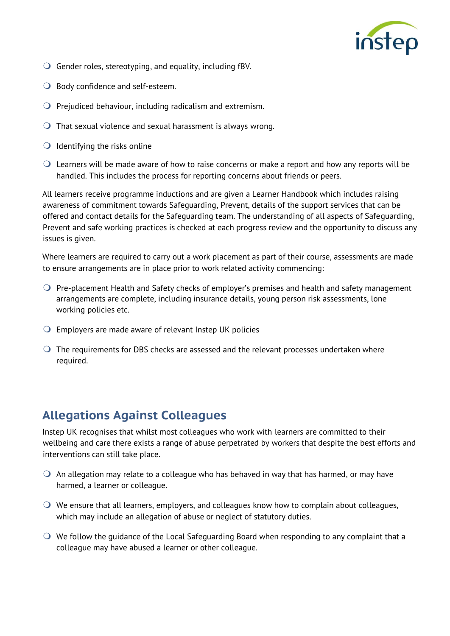

- $\bigcirc$  Gender roles, stereotyping, and equality, including fBV.
- O Body confidence and self-esteem.
- $\bigcirc$  Prejudiced behaviour, including radicalism and extremism.
- $\bigcirc$  That sexual violence and sexual harassment is always wrong.
- $\bigcirc$  Identifying the risks online
- $\bigcirc$  Learners will be made aware of how to raise concerns or make a report and how any reports will be handled. This includes the process for reporting concerns about friends or peers.

All learners receive programme inductions and are given a Learner Handbook which includes raising awareness of commitment towards Safeguarding, Prevent, details of the support services that can be offered and contact details for the Safeguarding team. The understanding of all aspects of Safeguarding, Prevent and safe working practices is checked at each progress review and the opportunity to discuss any issues is given.

Where learners are required to carry out a work placement as part of their course, assessments are made to ensure arrangements are in place prior to work related activity commencing:

- $\bigcirc$  Pre-placement Health and Safety checks of employer's premises and health and safety management arrangements are complete, including insurance details, young person risk assessments, lone working policies etc.
- $\bigcirc$  Employers are made aware of relevant Instep UK policies
- $\bigcirc$  The requirements for DBS checks are assessed and the relevant processes undertaken where required.

### <span id="page-15-0"></span>**Allegations Against Colleagues**

Instep UK recognises that whilst most colleagues who work with learners are committed to their wellbeing and care there exists a range of abuse perpetrated by workers that despite the best efforts and interventions can still take place.

- $\bigcirc$  An allegation may relate to a colleague who has behaved in way that has harmed, or may have harmed, a learner or colleague.
- We ensure that all learners, employers, and colleagues know how to complain about colleagues, which may include an allegation of abuse or neglect of statutory duties.
- $\bigcirc$  We follow the guidance of the Local Safeguarding Board when responding to any complaint that a colleague may have abused a learner or other colleague.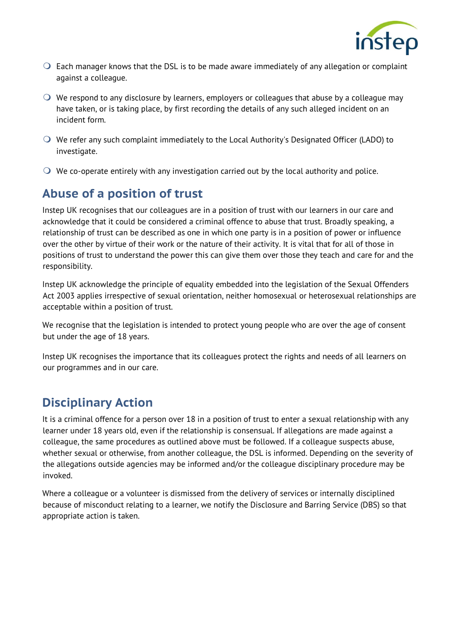

- $\bigcirc$  Each manager knows that the DSL is to be made aware immediately of any allegation or complaint against a colleague.
- We respond to any disclosure by learners, employers or colleagues that abuse by a colleague may have taken, or is taking place, by first recording the details of any such alleged incident on an incident form.
- We refer any such complaint immediately to the Local Authority's Designated Officer (LADO) to investigate.
- $\bigcirc$  We co-operate entirely with any investigation carried out by the local authority and police.

### <span id="page-16-0"></span>**Abuse of a position of trust**

Instep UK recognises that our colleagues are in a position of trust with our learners in our care and acknowledge that it could be considered a criminal offence to abuse that trust. Broadly speaking, a relationship of trust can be described as one in which one party is in a position of power or influence over the other by virtue of their work or the nature of their activity. It is vital that for all of those in positions of trust to understand the power this can give them over those they teach and care for and the responsibility.

Instep UK acknowledge the principle of equality embedded into the legislation of the Sexual Offenders Act 2003 applies irrespective of sexual orientation, neither homosexual or heterosexual relationships are acceptable within a position of trust.

We recognise that the legislation is intended to protect young people who are over the age of consent but under the age of 18 years.

Instep UK recognises the importance that its colleagues protect the rights and needs of all learners on our programmes and in our care.

### **Disciplinary Action**

It is a criminal offence for a person over 18 in a position of trust to enter a sexual relationship with any learner under 18 years old, even if the relationship is consensual. If allegations are made against a colleague, the same procedures as outlined above must be followed. If a colleague suspects abuse, whether sexual or otherwise, from another colleague, the DSL is informed. Depending on the severity of the allegations outside agencies may be informed and/or the colleague disciplinary procedure may be invoked.

Where a colleague or a volunteer is dismissed from the delivery of services or internally disciplined because of misconduct relating to a learner, we notify the Disclosure and Barring Service (DBS) so that appropriate action is taken.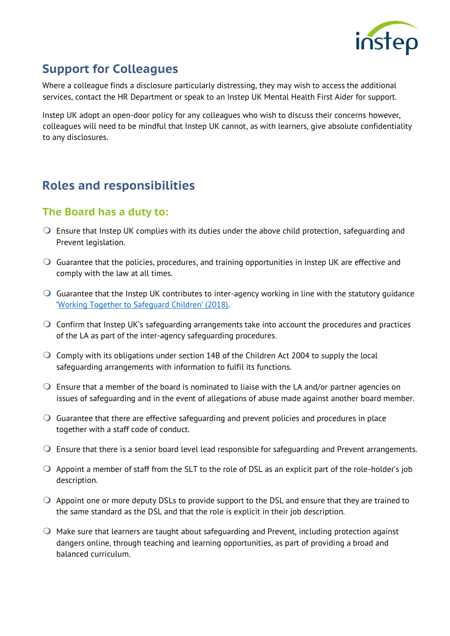

# <span id="page-17-0"></span>**Support for Colleagues**

Where a colleague finds a disclosure particularly distressing, they may wish to access the additional services, contact the HR Department or speak to an Instep UK Mental Health First Aider for support.

Instep UK adopt an open-door policy for any colleagues who wish to discuss their concerns however, colleagues will need to be mindful that Instep UK cannot, as with learners, give absolute confidentiality to any disclosures.

### <span id="page-17-1"></span>**Roles and responsibilities**

#### **The Board has a duty to:**

- $\bigcirc$  Ensure that Instep UK complies with its duties under the above child protection, safeguarding and Prevent legislation.
- Guarantee that the policies, procedures, and training opportunities in Instep UK are effective and comply with the law at all times.
- $\bigcirc$  Guarantee that the Instep UK contributes to inter-agency working in line with the statutory quidance ['Working Together to Safeguard Children' \(2018\)](https://www.gov.uk/government/publications/working-together-to-safeguard-children--2).
- $\bigcirc$  Confirm that Instep UK's safeguarding arrangements take into account the procedures and practices of the LA as part of the inter-agency safeguarding procedures.
- $\bigcirc$  Comply with its obligations under section 14B of the Children Act 2004 to supply the local safeguarding arrangements with information to fulfil its functions.
- $\bigcirc$  Ensure that a member of the board is nominated to liaise with the LA and/or partner agencies on issues of safeguarding and in the event of allegations of abuse made against another board member.
- $\bigcirc$  Guarantee that there are effective safeguarding and prevent policies and procedures in place together with a staff code of conduct.
- Ensure that there is a senior board level lead responsible for safeguarding and Prevent arrangements.
- $\bigcirc$  Appoint a member of staff from the SLT to the role of DSL as an explicit part of the role-holder's job description.
- Appoint one or more deputy DSLs to provide support to the DSL and ensure that they are trained to the same standard as the DSL and that the role is explicit in their job description.
- $\bigcirc$  Make sure that learners are taught about safeguarding and Prevent, including protection against dangers online, through teaching and learning opportunities, as part of providing a broad and balanced curriculum.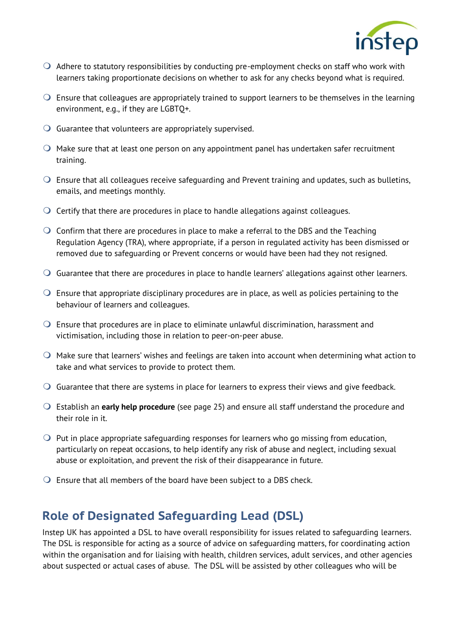

- $\bigcirc$  Adhere to statutory responsibilities by conducting pre-employment checks on staff who work with learners taking proportionate decisions on whether to ask for any checks beyond what is required.
- Ensure that colleagues are appropriately trained to support learners to be themselves in the learning environment, e.g., if they are LGBTQ+.
- $\bigcirc$  Guarantee that volunteers are appropriately supervised.
- $\bigcirc$  Make sure that at least one person on any appointment panel has undertaken safer recruitment training.
- Ensure that all colleagues receive safeguarding and Prevent training and updates, such as bulletins, emails, and meetings monthly.
- $\bigcirc$  Certify that there are procedures in place to handle allegations against colleagues.
- $\bigcirc$  Confirm that there are procedures in place to make a referral to the DBS and the Teaching Regulation Agency (TRA), where appropriate, if a person in regulated activity has been dismissed or removed due to safeguarding or Prevent concerns or would have been had they not resigned.
- Guarantee that there are procedures in place to handle learners' allegations against other learners.
- $\bigcirc$  Ensure that appropriate disciplinary procedures are in place, as well as policies pertaining to the behaviour of learners and colleagues.
- Ensure that procedures are in place to eliminate unlawful discrimination, harassment and victimisation, including those in relation to peer-on-peer abuse.
- $\bigcirc$  Make sure that learners' wishes and feelings are taken into account when determining what action to take and what services to provide to protect them.
- $\bigcirc$  Guarantee that there are systems in place for learners to express their views and give feedback.
- Establish an **early help procedure** (see page 25) and ensure all staff understand the procedure and their role in it.
- $\bigcirc$  Put in place appropriate safeguarding responses for learners who go missing from education, particularly on repeat occasions, to help identify any risk of abuse and neglect, including sexual abuse or exploitation, and prevent the risk of their disappearance in future.
- $\bigcirc$  Ensure that all members of the board have been subject to a DBS check.

### <span id="page-18-0"></span>**Role of Designated Safeguarding Lead (DSL)**

Instep UK has appointed a DSL to have overall responsibility for issues related to safeguarding learners. The DSL is responsible for acting as a source of advice on safeguarding matters, for coordinating action within the organisation and for liaising with health, children services, adult services, and other agencies about suspected or actual cases of abuse. The DSL will be assisted by other colleagues who will be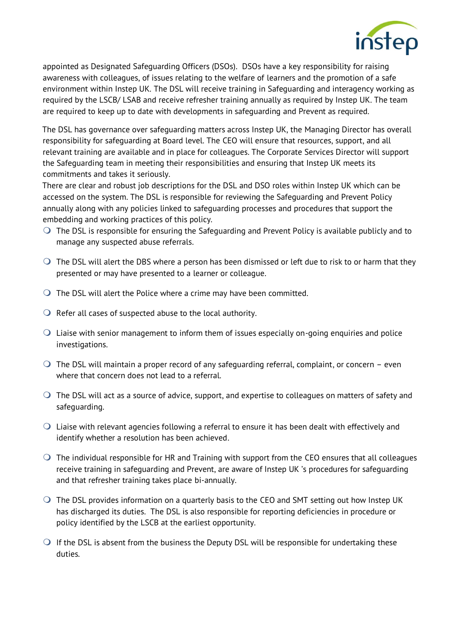

appointed as Designated Safeguarding Officers (DSOs). DSOs have a key responsibility for raising awareness with colleagues, of issues relating to the welfare of learners and the promotion of a safe environment within Instep UK. The DSL will receive training in Safeguarding and interagency working as required by the LSCB/ LSAB and receive refresher training annually as required by Instep UK. The team are required to keep up to date with developments in safeguarding and Prevent as required.

The DSL has governance over safeguarding matters across Instep UK, the Managing Director has overall responsibility for safeguarding at Board level. The CEO will ensure that resources, support, and all relevant training are available and in place for colleagues. The Corporate Services Director will support the Safeguarding team in meeting their responsibilities and ensuring that Instep UK meets its commitments and takes it seriously.

There are clear and robust job descriptions for the DSL and DSO roles within Instep UK which can be accessed on the system. The DSL is responsible for reviewing the Safeguarding and Prevent Policy annually along with any policies linked to safeguarding processes and procedures that support the embedding and working practices of this policy.

- $\bigcirc$  The DSL is responsible for ensuring the Safeguarding and Prevent Policy is available publicly and to manage any suspected abuse referrals.
- The DSL will alert the DBS where a person has been dismissed or left due to risk to or harm that they presented or may have presented to a learner or colleague.
- $\bigcirc$  The DSL will alert the Police where a crime may have been committed.
- $\bigcirc$  Refer all cases of suspected abuse to the local authority.
- $\bigcirc$  Liaise with senior management to inform them of issues especially on-going enquiries and police investigations.
- $\bigcirc$  The DSL will maintain a proper record of any safeguarding referral, complaint, or concern even where that concern does not lead to a referral.
- $\bigcirc$  The DSL will act as a source of advice, support, and expertise to colleagues on matters of safety and safeguarding.
- Liaise with relevant agencies following a referral to ensure it has been dealt with effectively and identify whether a resolution has been achieved.
- $\bigcirc$  The individual responsible for HR and Training with support from the CEO ensures that all colleagues receive training in safeguarding and Prevent, are aware of Instep UK 's procedures for safeguarding and that refresher training takes place bi-annually.
- The DSL provides information on a quarterly basis to the CEO and SMT setting out how Instep UK has discharged its duties. The DSL is also responsible for reporting deficiencies in procedure or policy identified by the LSCB at the earliest opportunity.
- $\bigcirc$  If the DSL is absent from the business the Deputy DSL will be responsible for undertaking these duties.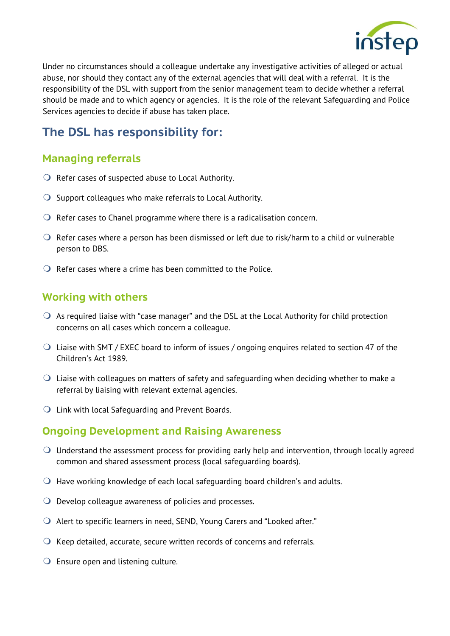

Under no circumstances should a colleague undertake any investigative activities of alleged or actual abuse, nor should they contact any of the external agencies that will deal with a referral. It is the responsibility of the DSL with support from the senior management team to decide whether a referral should be made and to which agency or agencies. It is the role of the relevant Safeguarding and Police Services agencies to decide if abuse has taken place.

### <span id="page-20-0"></span>**The DSL has responsibility for:**

### **Managing referrals**

- $\bigcirc$  Refer cases of suspected abuse to Local Authority.
- $\bigcirc$  Support colleagues who make referrals to Local Authority.
- $\bigcirc$  Refer cases to Chanel programme where there is a radicalisation concern.
- $\bigcirc$  Refer cases where a person has been dismissed or left due to risk/harm to a child or vulnerable person to DBS.
- $\bigcirc$  Refer cases where a crime has been committed to the Police.

#### **Working with others**

- $\bigcirc$  As required liaise with "case manager" and the DSL at the Local Authority for child protection concerns on all cases which concern a colleague.
- Liaise with SMT / EXEC board to inform of issues / ongoing enquires related to section 47 of the Children's Act 1989.
- Liaise with colleagues on matters of safety and safeguarding when deciding whether to make a referral by liaising with relevant external agencies.
- $\bigcirc$  Link with local Safeguarding and Prevent Boards.

#### **Ongoing Development and Raising Awareness**

- Understand the assessment process for providing early help and intervention, through locally agreed common and shared assessment process (local safeguarding boards).
- Have working knowledge of each local safeguarding board children's and adults.
- Develop colleague awareness of policies and processes.
- Alert to specific learners in need, SEND, Young Carers and "Looked after."
- $\bigcirc$  Keep detailed, accurate, secure written records of concerns and referrals.
- $\bigcirc$  Ensure open and listening culture.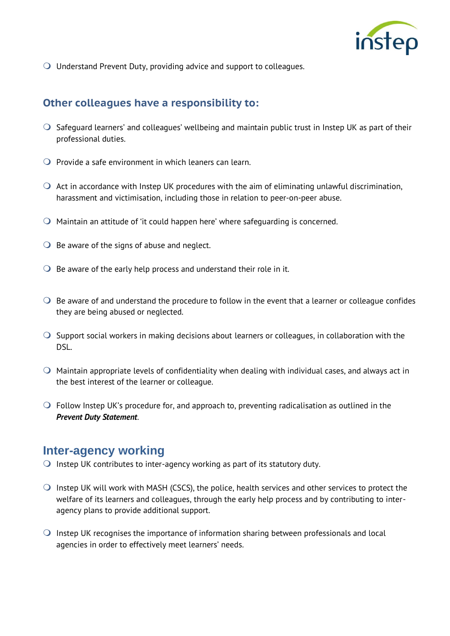

Understand Prevent Duty, providing advice and support to colleagues.

#### <span id="page-21-0"></span>**Other colleagues have a responsibility to:**

- $\bigcirc$  Safeguard learners' and colleagues' wellbeing and maintain public trust in Instep UK as part of their professional duties.
- $\Omega$  Provide a safe environment in which leaners can learn.
- $\bigcirc$  Act in accordance with Instep UK procedures with the aim of eliminating unlawful discrimination, harassment and victimisation, including those in relation to peer-on-peer abuse.
- $\bigcirc$  Maintain an attitude of 'it could happen here' where safeguarding is concerned.
- $\bigcirc$  Be aware of the signs of abuse and neglect.
- $\bigcirc$  Be aware of the early help process and understand their role in it.
- $\bigcirc$  Be aware of and understand the procedure to follow in the event that a learner or colleague confides they are being abused or neglected.
- $\bigcirc$  Support social workers in making decisions about learners or colleagues, in collaboration with the DSL.
- $\bigcirc$  Maintain appropriate levels of confidentiality when dealing with individual cases, and always act in the best interest of the learner or colleague.
- $\bigcirc$  Follow Instep UK's procedure for, and approach to, preventing radicalisation as outlined in the *Prevent Duty Statement*.

#### <span id="page-21-1"></span>**Inter-agency working**

- $\bigcirc$  Instep UK contributes to inter-agency working as part of its statutory duty.
- $\bigcirc$  Instep UK will work with MASH (CSCS), the police, health services and other services to protect the welfare of its learners and colleagues, through the early help process and by contributing to interagency plans to provide additional support.
- $\bigcirc$  Instep UK recognises the importance of information sharing between professionals and local agencies in order to effectively meet learners' needs.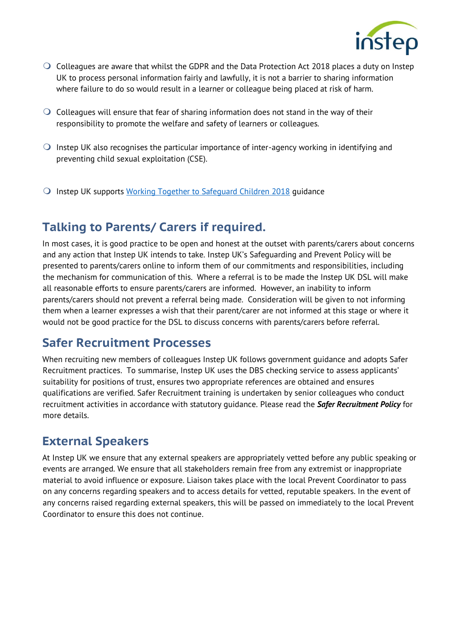

- $\bigcirc$  Colleagues are aware that whilst the GDPR and the Data Protection Act 2018 places a duty on Instep UK to process personal information fairly and lawfully, it is not a barrier to sharing information where failure to do so would result in a learner or colleague being placed at risk of harm.
- $\bigcirc$  Colleagues will ensure that fear of sharing information does not stand in the way of their responsibility to promote the welfare and safety of learners or colleagues.
- $\bigcirc$  Instep UK also recognises the particular importance of inter-agency working in identifying and preventing child sexual exploitation (CSE).
- Instep UK supports [Working Together to Safeguard Children 2018](https://www.gov.uk/government/publications/working-together-to-safeguard-children--2) guidance

# <span id="page-22-0"></span>**Talking to Parents/ Carers if required.**

In most cases, it is good practice to be open and honest at the outset with parents/carers about concerns and any action that Instep UK intends to take. Instep UK's Safeguarding and Prevent Policy will be presented to parents/carers online to inform them of our commitments and responsibilities, including the mechanism for communication of this. Where a referral is to be made the Instep UK DSL will make all reasonable efforts to ensure parents/carers are informed. However, an inability to inform parents/carers should not prevent a referral being made. Consideration will be given to not informing them when a learner expresses a wish that their parent/carer are not informed at this stage or where it would not be good practice for the DSL to discuss concerns with parents/carers before referral.

### <span id="page-22-1"></span>**Safer Recruitment Processes**

When recruiting new members of colleagues Instep UK follows government guidance and adopts Safer Recruitment practices. To summarise, Instep UK uses the DBS checking service to assess applicants' suitability for positions of trust, ensures two appropriate references are obtained and ensures qualifications are verified. Safer Recruitment training is undertaken by senior colleagues who conduct recruitment activities in accordance with statutory guidance. Please read the *Safer Recruitment Policy* for more details.

### <span id="page-22-2"></span>**External Speakers**

At Instep UK we ensure that any external speakers are appropriately vetted before any public speaking or events are arranged. We ensure that all stakeholders remain free from any extremist or inappropriate material to avoid influence or exposure. Liaison takes place with the local Prevent Coordinator to pass on any concerns regarding speakers and to access details for vetted, reputable speakers. In the event of any concerns raised regarding external speakers, this will be passed on immediately to the local Prevent Coordinator to ensure this does not continue.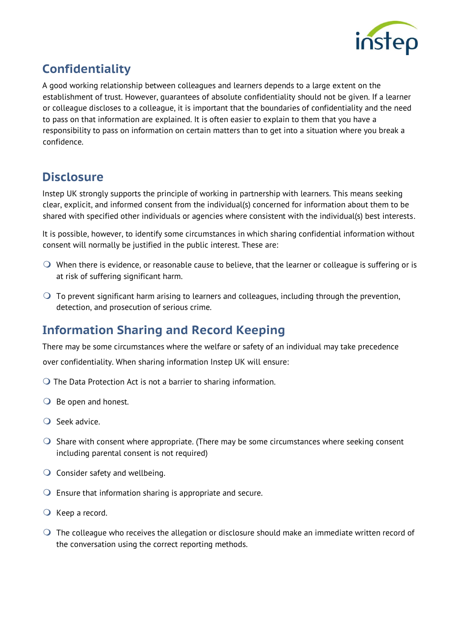

# **Confidentiality**

A good working relationship between colleagues and learners depends to a large extent on the establishment of trust. However, guarantees of absolute confidentiality should not be given. If a learner or colleague discloses to a colleague, it is important that the boundaries of confidentiality and the need to pass on that information are explained. It is often easier to explain to them that you have a responsibility to pass on information on certain matters than to get into a situation where you break a confidence.

### **Disclosure**

Instep UK strongly supports the principle of working in partnership with learners. This means seeking clear, explicit, and informed consent from the individual(s) concerned for information about them to be shared with specified other individuals or agencies where consistent with the individual(s) best interests.

It is possible, however, to identify some circumstances in which sharing confidential information without consent will normally be justified in the public interest. These are:

- When there is evidence, or reasonable cause to believe, that the learner or colleague is suffering or is at risk of suffering significant harm.
- $\bigcirc$  To prevent significant harm arising to learners and colleagues, including through the prevention, detection, and prosecution of serious crime.

### <span id="page-23-0"></span>**Information Sharing and Record Keeping**

There may be some circumstances where the welfare or safety of an individual may take precedence over confidentiality. When sharing information Instep UK will ensure:

- $\bigcirc$  The Data Protection Act is not a barrier to sharing information.
- $\bigcirc$  Be open and honest.
- $\bigcirc$  Seek advice.
- $\bigcirc$  Share with consent where appropriate. (There may be some circumstances where seeking consent including parental consent is not required)
- $\bigcirc$  Consider safety and wellbeing.
- $\bigcirc$  Ensure that information sharing is appropriate and secure.
- $\bigcirc$  Keep a record.
- $\bigcirc$  The colleague who receives the allegation or disclosure should make an immediate written record of the conversation using the correct reporting methods.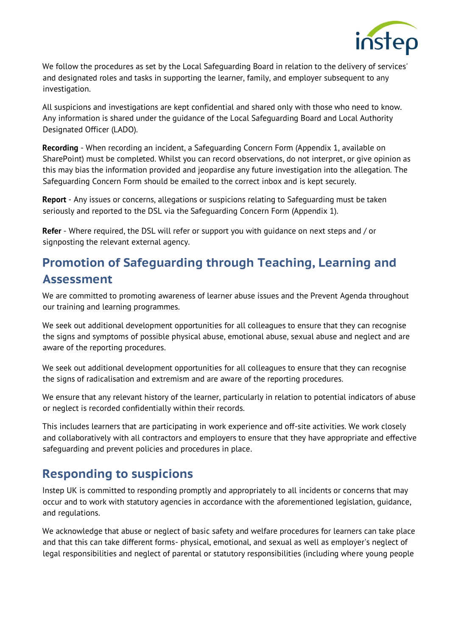

We follow the procedures as set by the Local Safeguarding Board in relation to the delivery of services' and designated roles and tasks in supporting the learner, family, and employer subsequent to any investigation.

All suspicions and investigations are kept confidential and shared only with those who need to know. Any information is shared under the guidance of the Local Safeguarding Board and Local Authority Designated Officer (LADO).

**Recording** - When recording an incident, a Safeguarding Concern Form (Appendix 1, available on SharePoint) must be completed. Whilst you can record observations, do not interpret, or give opinion as this may bias the information provided and jeopardise any future investigation into the allegation. The Safeguarding Concern Form should be emailed to the correct inbox and is kept securely.

**Report** - Any issues or concerns, allegations or suspicions relating to Safeguarding must be taken seriously and reported to the DSL via the Safeguarding Concern Form (Appendix 1).

**Refer** - Where required, the DSL will refer or support you with guidance on next steps and / or signposting the relevant external agency.

# <span id="page-24-0"></span>**Promotion of Safeguarding through Teaching, Learning and Assessment**

We are committed to promoting awareness of learner abuse issues and the Prevent Agenda throughout our training and learning programmes.

We seek out additional development opportunities for all colleagues to ensure that they can recognise the signs and symptoms of possible physical abuse, emotional abuse, sexual abuse and neglect and are aware of the reporting procedures.

We seek out additional development opportunities for all colleagues to ensure that they can recognise the signs of radicalisation and extremism and are aware of the reporting procedures.

We ensure that any relevant history of the learner, particularly in relation to potential indicators of abuse or neglect is recorded confidentially within their records.

This includes learners that are participating in work experience and off-site activities. We work closely and collaboratively with all contractors and employers to ensure that they have appropriate and effective safeguarding and prevent policies and procedures in place.

### <span id="page-24-1"></span>**Responding to suspicions**

Instep UK is committed to responding promptly and appropriately to all incidents or concerns that may occur and to work with statutory agencies in accordance with the aforementioned legislation, guidance, and regulations.

We acknowledge that abuse or neglect of basic safety and welfare procedures for learners can take place and that this can take different forms- physical, emotional, and sexual as well as employer's neglect of legal responsibilities and neglect of parental or statutory responsibilities (including where young people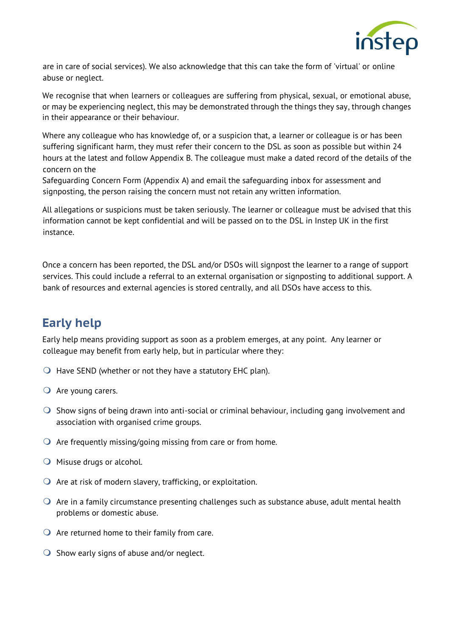

are in care of social services). We also acknowledge that this can take the form of 'virtual' or online abuse or neglect.

We recognise that when learners or colleagues are suffering from physical, sexual, or emotional abuse, or may be experiencing neglect, this may be demonstrated through the things they say, through changes in their appearance or their behaviour.

Where any colleague who has knowledge of, or a suspicion that, a learner or colleague is or has been suffering significant harm, they must refer their concern to the DSL as soon as possible but within 24 hours at the latest and follow Appendix B. The colleague must make a dated record of the details of the concern on the

Safeguarding Concern Form (Appendix A) and email the safeguarding inbox for assessment and signposting, the person raising the concern must not retain any written information.

All allegations or suspicions must be taken seriously. The learner or colleague must be advised that this information cannot be kept confidential and will be passed on to the DSL in Instep UK in the first instance.

Once a concern has been reported, the DSL and/or DSOs will signpost the learner to a range of support services. This could include a referral to an external organisation or signposting to additional support. A bank of resources and external agencies is stored centrally, and all DSOs have access to this.

# <span id="page-25-0"></span>**Early help**

Early help means providing support as soon as a problem emerges, at any point. Any learner or colleague may benefit from early help, but in particular where they:

- $\bigcirc$  Have SEND (whether or not they have a statutory EHC plan).
- $\bigcirc$  Are young carers.
- $\bigcirc$  Show signs of being drawn into anti-social or criminal behaviour, including gang involvement and association with organised crime groups.
- $\bigcirc$  Are frequently missing/going missing from care or from home.
- $\bigcirc$  Misuse drugs or alcohol.
- $\bigcirc$  Are at risk of modern slavery, trafficking, or exploitation.
- $\bigcirc$  Are in a family circumstance presenting challenges such as substance abuse, adult mental health problems or domestic abuse.
- $\bigcirc$  Are returned home to their family from care.
- $\bigcirc$  Show early signs of abuse and/or neglect.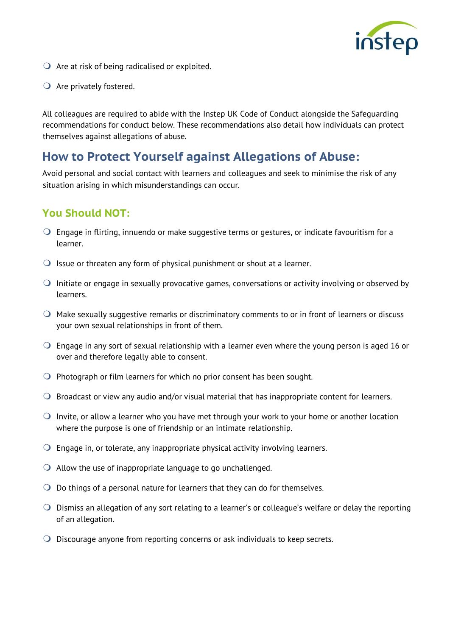

- $\bigcirc$  Are at risk of being radicalised or exploited.
- $\bigcirc$  Are privately fostered.

All colleagues are required to abide with the Instep UK Code of Conduct alongside the Safeguarding recommendations for conduct below. These recommendations also detail how individuals can protect themselves against allegations of abuse.

### <span id="page-26-0"></span>**How to Protect Yourself against Allegations of Abuse:**

Avoid personal and social contact with learners and colleagues and seek to minimise the risk of any situation arising in which misunderstandings can occur.

### **You Should NOT:**

- $\bigcirc$  Engage in flirting, innuendo or make suggestive terms or gestures, or indicate favouritism for a learner.
- $\bigcirc$  Issue or threaten any form of physical punishment or shout at a learner.
- $\bigcirc$  Initiate or engage in sexually provocative games, conversations or activity involving or observed by learners.
- $\bigcirc$  Make sexually suggestive remarks or discriminatory comments to or in front of learners or discuss your own sexual relationships in front of them.
- $\bigcirc$  Engage in any sort of sexual relationship with a learner even where the young person is aged 16 or over and therefore legally able to consent.
- $\bigcirc$  Photograph or film learners for which no prior consent has been sought.
- $\bigcirc$  Broadcast or view any audio and/or visual material that has inappropriate content for learners.
- $\bigcirc$  Invite, or allow a learner who you have met through your work to your home or another location where the purpose is one of friendship or an intimate relationship.
- $\bigcirc$  Engage in, or tolerate, any inappropriate physical activity involving learners.
- $\bigcirc$  Allow the use of inappropriate language to go unchallenged.
- $\bigcirc$  Do things of a personal nature for learners that they can do for themselves.
- $\bigcirc$  Dismiss an allegation of any sort relating to a learner's or colleague's welfare or delay the reporting of an allegation.
- Discourage anyone from reporting concerns or ask individuals to keep secrets.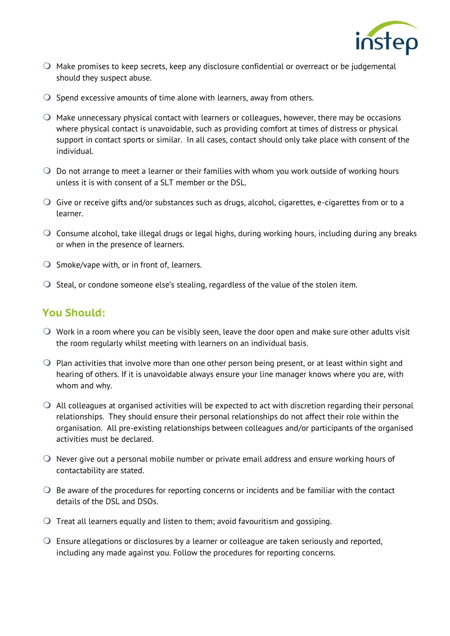

- $\bigcirc$  Make promises to keep secrets, keep any disclosure confidential or overreact or be judgemental should they suspect abuse.
- $\bigcirc$  Spend excessive amounts of time alone with learners, away from others.
- $\bigcirc$  Make unnecessary physical contact with learners or colleagues, however, there may be occasions where physical contact is unavoidable, such as providing comfort at times of distress or physical support in contact sports or similar. In all cases, contact should only take place with consent of the individual.
- $\bigcirc$  Do not arrange to meet a learner or their families with whom you work outside of working hours unless it is with consent of a SLT member or the DSL.
- $\bigcirc$  Give or receive gifts and/or substances such as drugs, alcohol, cigarettes, e-cigarettes from or to a learner.
- $\bigcirc$  Consume alcohol, take illegal drugs or legal highs, during working hours, including during any breaks or when in the presence of learners.
- $\bigcirc$  Smoke/vape with, or in front of, learners.
- $\bigcirc$  Steal, or condone someone else's stealing, regardless of the value of the stolen item.

### **You Should:**

- $\bigcirc$  Work in a room where you can be visibly seen, leave the door open and make sure other adults visit the room regularly whilst meeting with learners on an individual basis.
- $\bigcirc$  Plan activities that involve more than one other person being present, or at least within sight and hearing of others. If it is unavoidable always ensure your line manager knows where you are, with whom and why.
- $\bigcirc$  All colleagues at organised activities will be expected to act with discretion regarding their personal relationships. They should ensure their personal relationships do not affect their role within the organisation. All pre-existing relationships between colleagues and/or participants of the organised activities must be declared.
- $\bigcirc$  Never give out a personal mobile number or private email address and ensure working hours of contactability are stated.
- $\bigcirc$  Be aware of the procedures for reporting concerns or incidents and be familiar with the contact details of the DSL and DSOs.
- $\bigcirc$  Treat all learners equally and listen to them; avoid favouritism and gossiping.
- Ensure allegations or disclosures by a learner or colleague are taken seriously and reported, including any made against you. Follow the procedures for reporting concerns.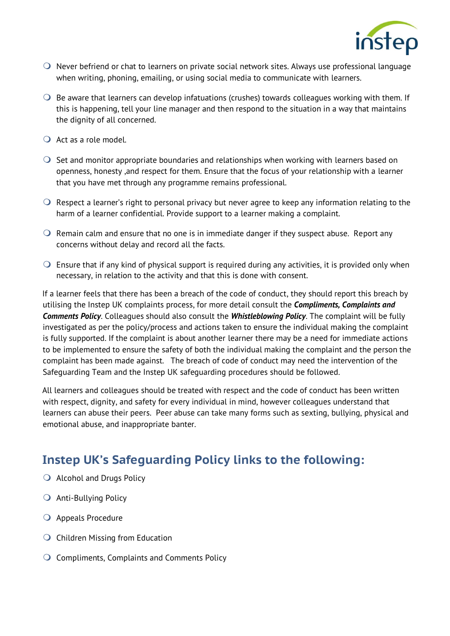

- $\bigcirc$  Never befriend or chat to learners on private social network sites. Always use professional language when writing, phoning, emailing, or using social media to communicate with learners.
- $\bigcirc$  Be aware that learners can develop infatuations (crushes) towards colleagues working with them. If this is happening, tell your line manager and then respond to the situation in a way that maintains the dignity of all concerned.
- $\bigcirc$  Act as a role model.
- $\bigcirc$  Set and monitor appropriate boundaries and relationships when working with learners based on openness, honesty ,and respect for them. Ensure that the focus of your relationship with a learner that you have met through any programme remains professional.
- $\bigcirc$  Respect a learner's right to personal privacy but never agree to keep any information relating to the harm of a learner confidential. Provide support to a learner making a complaint.
- $\bigcirc$  Remain calm and ensure that no one is in immediate danger if they suspect abuse. Report any concerns without delay and record all the facts.
- $\bigcirc$  Ensure that if any kind of physical support is required during any activities, it is provided only when necessary, in relation to the activity and that this is done with consent.

If a learner feels that there has been a breach of the code of conduct, they should report this breach by utilising the Instep UK complaints process, for more detail consult the *Compliments, Complaints and Comments Policy*. Colleagues should also consult the *Whistleblowing Policy*. The complaint will be fully investigated as per the policy/process and actions taken to ensure the individual making the complaint is fully supported. If the complaint is about another learner there may be a need for immediate actions to be implemented to ensure the safety of both the individual making the complaint and the person the complaint has been made against. The breach of code of conduct may need the intervention of the Safeguarding Team and the Instep UK safeguarding procedures should be followed.

All learners and colleagues should be treated with respect and the code of conduct has been written with respect, dignity, and safety for every individual in mind, however colleagues understand that learners can abuse their peers. Peer abuse can take many forms such as sexting, bullying, physical and emotional abuse, and inappropriate banter.

### <span id="page-28-0"></span>**Instep UK's Safeguarding Policy links to the following:**

- $\bigcirc$  Alcohol and Drugs Policy
- Anti-Bullying Policy
- Appeals Procedure
- O Children Missing from Education
- $\bigcirc$  Compliments, Complaints and Comments Policy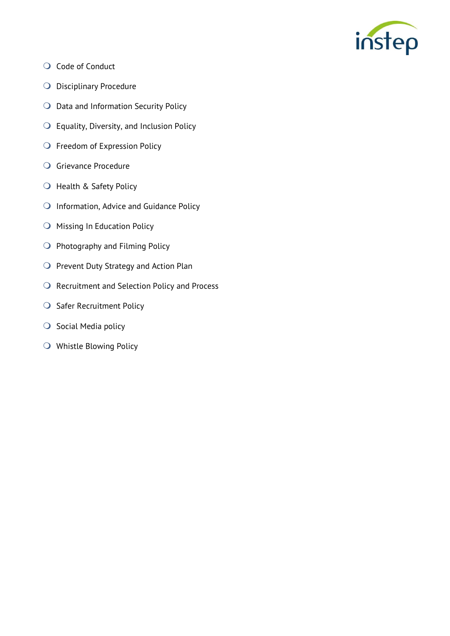

- O Code of Conduct
- O Disciplinary Procedure
- O Data and Information Security Policy
- Equality, Diversity, and Inclusion Policy
- **O** Freedom of Expression Policy
- **Grievance Procedure**
- O Health & Safety Policy
- **O** Information, Advice and Guidance Policy
- O Missing In Education Policy
- O Photography and Filming Policy
- **O** Prevent Duty Strategy and Action Plan
- O Recruitment and Selection Policy and Process
- **O** Safer Recruitment Policy
- $\bigcirc$  Social Media policy
- Whistle Blowing Policy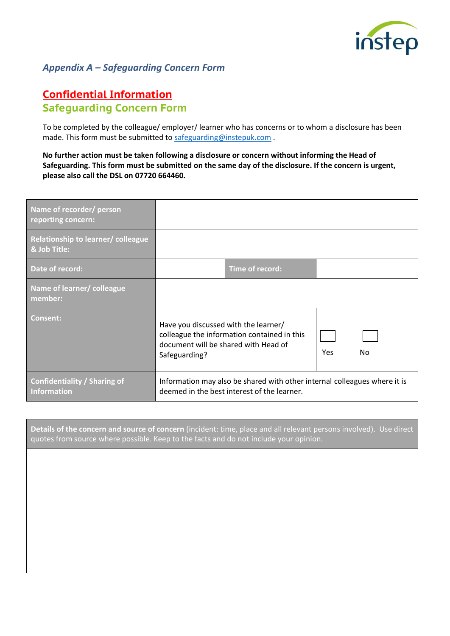

#### *Appendix A – Safeguarding Concern Form*

### **Confidential Information Safeguarding Concern Form**

To be completed by the colleague/ employer/ learner who has concerns or to whom a disclosure has been made. This form must be submitted to [safeguarding@instepuk.com](mailto:safeguarding@instepuk.com).

**No further action must be taken following a disclosure or concern without informing the Head of Safeguarding. This form must be submitted on the same day of the disclosure. If the concern is urgent, please also call the DSL on 07720 664460.**

| Name of recorder/ person<br>reporting concern:            |                                                                                               |                                                                                                                          |            |     |
|-----------------------------------------------------------|-----------------------------------------------------------------------------------------------|--------------------------------------------------------------------------------------------------------------------------|------------|-----|
| Relationship to learner/colleague<br>& Job Title:         |                                                                                               |                                                                                                                          |            |     |
| Date of record:                                           |                                                                                               | Time of record:                                                                                                          |            |     |
| Name of learner/ colleague<br>member:                     |                                                                                               |                                                                                                                          |            |     |
| <b>Consent:</b>                                           | Have you discussed with the learner/<br>document will be shared with Head of<br>Safeguarding? | colleague the information contained in this                                                                              | <b>Yes</b> | No. |
| <b>Confidentiality / Sharing of</b><br><b>Information</b> |                                                                                               | Information may also be shared with other internal colleagues where it is<br>deemed in the best interest of the learner. |            |     |

**Details of the concern and source of concern** (incident: time, place and all relevant persons involved). Use direct quotes from source where possible. Keep to the facts and do not include your opinion.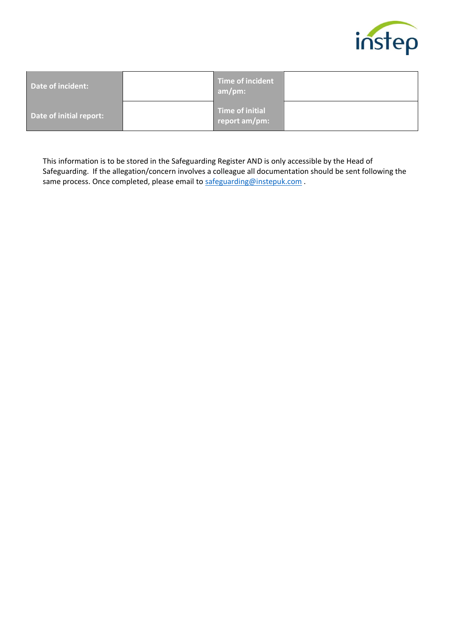

| Date of incident:       | Time of incident<br>$am/pm$ :    |  |
|-------------------------|----------------------------------|--|
| Date of initial report: | Time of initial<br>report am/pm: |  |

This information is to be stored in the Safeguarding Register AND is only accessible by the Head of Safeguarding. If the allegation/concern involves a colleague all documentation should be sent following the same process. Once completed, please email to [safeguarding@instepuk.com](mailto:safeguarding@instepuk.com).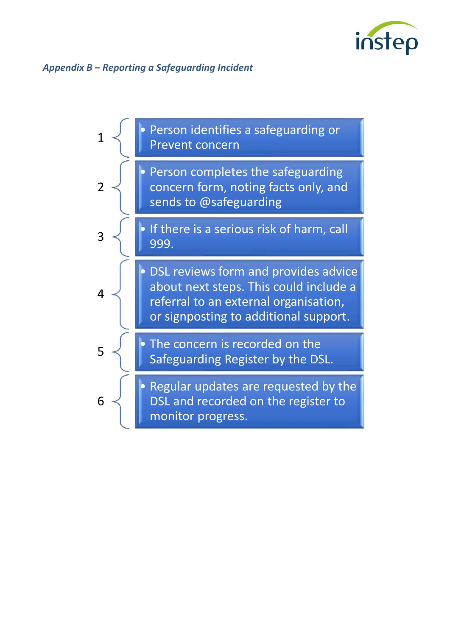

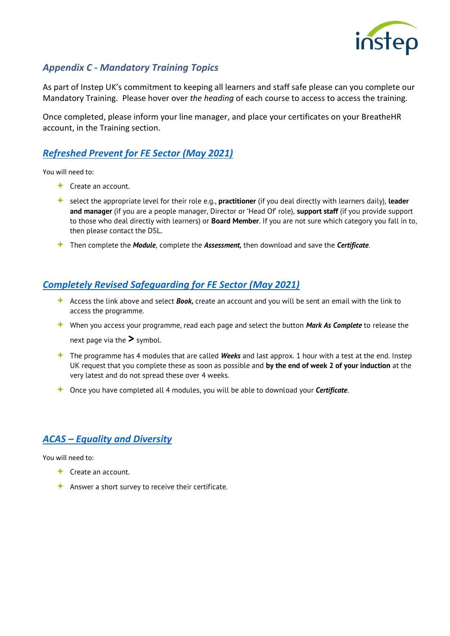

#### *Appendix C - Mandatory Training Topics*

As part of Instep UK's commitment to keeping all learners and staff safe please can you complete our Mandatory Training. Please hover over *the heading* of each course to access to access the training.

Once completed, please inform your line manager, and place your certificates on your BreatheHR account, in the Training section.

#### *[Refreshed Prevent for FE Sector \(May 2021\)](https://www.foundationonline.org.uk/course/index.php?categoryid=14)*

You will need to:

- $\triangleq$  Create an account.
- select the appropriate level for their role e.g., **practitioner** (if you deal directly with learners daily), **leader and manager** (if you are a people manager, Director or 'Head Of' role), **support staff** (if you provide support to those who deal directly with learners) or **Board Member**. If you are not sure which category you fall in to, then please contact the DSL.
- Then complete the *Module*, complete the *Assessment,* then download and save the *Certificate*.

#### *[Completely Revised Safeguarding for FE Sector \(May](https://www.futurelearn.com/invitations/etf/safeguarding-in-the-fe-and-skills-sector/bd89vvs4l486tdl1yz5dw5kuuy3ohqi) 2021)*

- Access the link above and select *Book,* create an account and you will be sent an email with the link to access the programme.
- When you access your programme, read each page and select the button *Mark As Complete* to release the next page via the **>** symbol.
- The programme has 4 modules that are called *Weeks* and last approx. 1 hour with a test at the end. Instep UK request that you complete these as soon as possible and **by the end of week 2 of your induction** at the very latest and do not spread these over 4 weeks.
- Once you have completed all 4 modules, you will be able to download your *Certificate*.

#### *ACAS – [Equality and Diversity](https://elearning.acas.org.uk/course/view.php?id=7)*

You will need to:

- $\leftarrow$  Create an account.
- Answer a short survey to receive their certificate.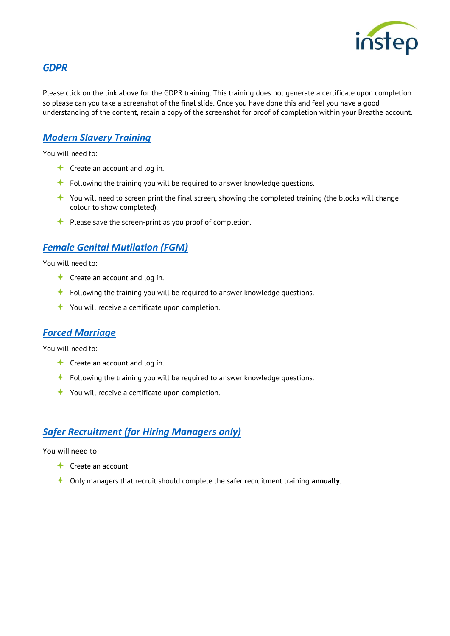

#### *[GDPR](https://onedrive.live.com/view.aspx?resid=62A030D8A4BFE683!158464&ithint=file%2cpptx&authkey=!AAjHHM2PdaofYmw)*

Please click on the link above for the GDPR training. This training does not generate a certificate upon completion so please can you take a screenshot of the final slide. Once you have done this and feel you have a good understanding of the content, retain a copy of the screenshot for proof of completion within your Breathe account.

#### *[Modern Slavery Training](https://free.learningpool.com/modern-slavery/index.html?hsCtaTracking=1d0c65f9-83ce-4469-92da-c107e86d6a93%7Cc6dfd189-8c1b-4091-8909-9d1bd1c746bf)*

You will need to:

- $\triangleleft$  Create an account and log in.
- $\bigstar$  Following the training you will be required to answer knowledge questions.
- $\bigstar$  You will need to screen print the final screen, showing the completed training (the blocks will change colour to show completed).
- $\bigstar$  Please save the screen-print as you proof of completion.

#### *[Female Genital Mutilation \(FGM\)](https://www.fgmelearning.co.uk/)*

You will need to:

- $\triangleq$  Create an account and log in.
- $\bigstar$  Following the training you will be required to answer knowledge questions.
- $\triangle$  You will receive a certificate upon completion.

#### *[Forced Marriage](https://www.virtual-college.co.uk/resources/free-courses/awareness-of-forced-marriage)*

You will need to:

- ← Create an account and log in.
- $\bigstar$  Following the training you will be required to answer knowledge questions.
- **↑** You will receive a certificate upon completion.

#### *[Safer Recruitment \(for Hiring Managers only\)](https://www.foundationonline.org.uk/course/view.php?id=184)*

You will need to:

- $\triangleleft$  Create an account
- Only managers that recruit should complete the safer recruitment training **annually**.